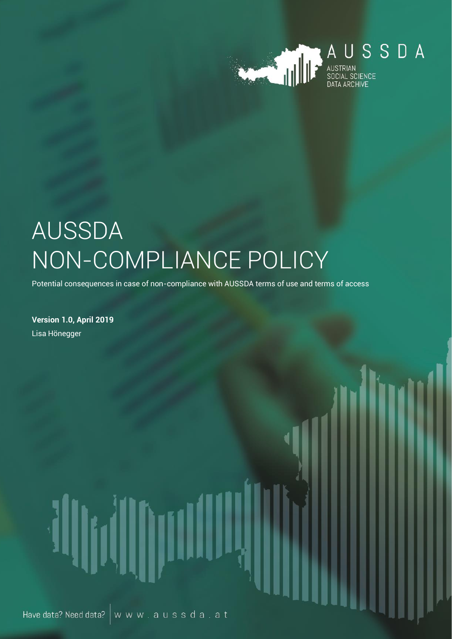

# AUSSDA NON-COMPLIANCE POLICY

Potential consequences in case of non-compliance with AUSSDA terms of use and terms of access

**Version 1.0, April 2019** Lisa Hönegger

Have data? Need data?  $\big|$  w w w . a u s s d a . a t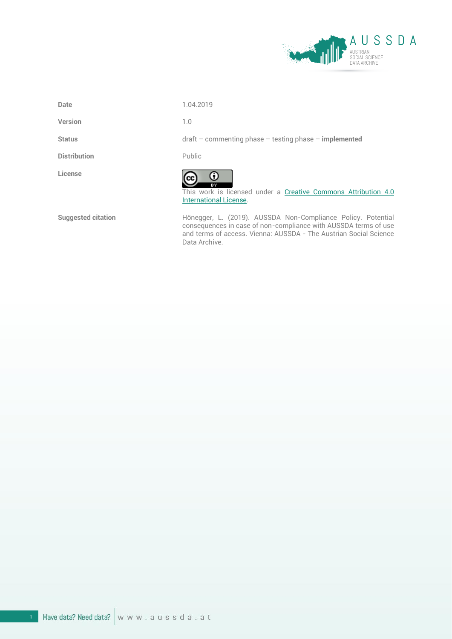

**Date** 1.04.2019

**Version** 1.0

**Distribution** Public

**License**

**Status** draft – commenting phase – testing phase – **implemented**



This work is licensed under a [Creative Commons Attribution 4.0](https://creativecommons.org/licenses/by/4.0/)  [International License.](https://creativecommons.org/licenses/by/4.0/)

**Suggested citation** Hönegger, L. (2019). AUSSDA Non-Compliance Policy. Potential consequences in case of non-compliance with AUSSDA terms of use and terms of access. Vienna: AUSSDA - The Austrian Social Science Data Archive.